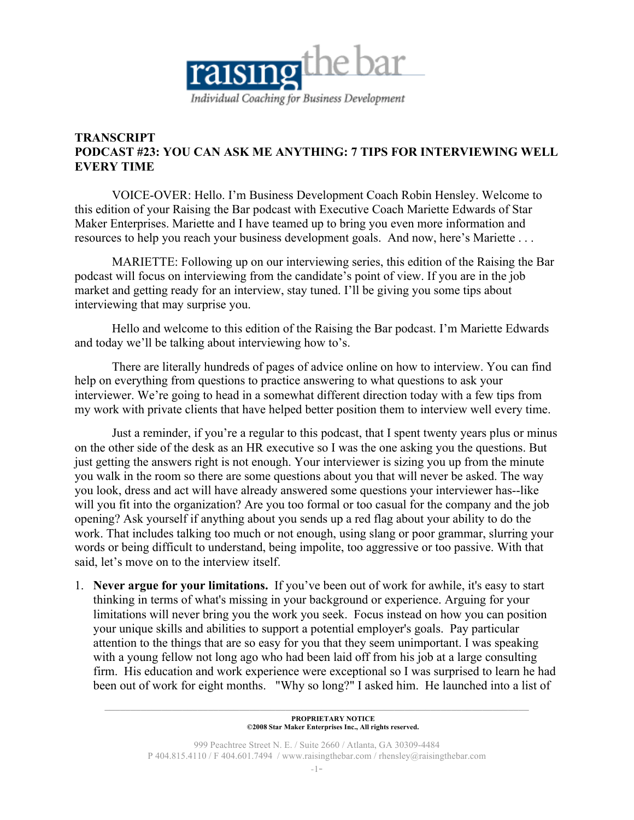

## **TRANSCRIPT PODCAST #23: YOU CAN ASK ME ANYTHING: 7 TIPS FOR INTERVIEWING WELL EVERY TIME**

VOICE-OVER: Hello. I'm Business Development Coach Robin Hensley. Welcome to this edition of your Raising the Bar podcast with Executive Coach Mariette Edwards of Star Maker Enterprises. Mariette and I have teamed up to bring you even more information and resources to help you reach your business development goals. And now, here's Mariette . . .

MARIETTE: Following up on our interviewing series, this edition of the Raising the Bar podcast will focus on interviewing from the candidate's point of view. If you are in the job market and getting ready for an interview, stay tuned. I'll be giving you some tips about interviewing that may surprise you.

Hello and welcome to this edition of the Raising the Bar podcast. I'm Mariette Edwards and today we'll be talking about interviewing how to's.

There are literally hundreds of pages of advice online on how to interview. You can find help on everything from questions to practice answering to what questions to ask your interviewer. We're going to head in a somewhat different direction today with a few tips from my work with private clients that have helped better position them to interview well every time.

Just a reminder, if you're a regular to this podcast, that I spent twenty years plus or minus on the other side of the desk as an HR executive so I was the one asking you the questions. But just getting the answers right is not enough. Your interviewer is sizing you up from the minute you walk in the room so there are some questions about you that will never be asked. The way you look, dress and act will have already answered some questions your interviewer has--like will you fit into the organization? Are you too formal or too casual for the company and the job opening? Ask yourself if anything about you sends up a red flag about your ability to do the work. That includes talking too much or not enough, using slang or poor grammar, slurring your words or being difficult to understand, being impolite, too aggressive or too passive. With that said, let's move on to the interview itself.

1. **Never argue for your limitations.** If you've been out of work for awhile, it's easy to start thinking in terms of what's missing in your background or experience. Arguing for your limitations will never bring you the work you seek. Focus instead on how you can position your unique skills and abilities to support a potential employer's goals. Pay particular attention to the things that are so easy for you that they seem unimportant. I was speaking with a young fellow not long ago who had been laid off from his job at a large consulting firm. His education and work experience were exceptional so I was surprised to learn he had been out of work for eight months. "Why so long?" I asked him. He launched into a list of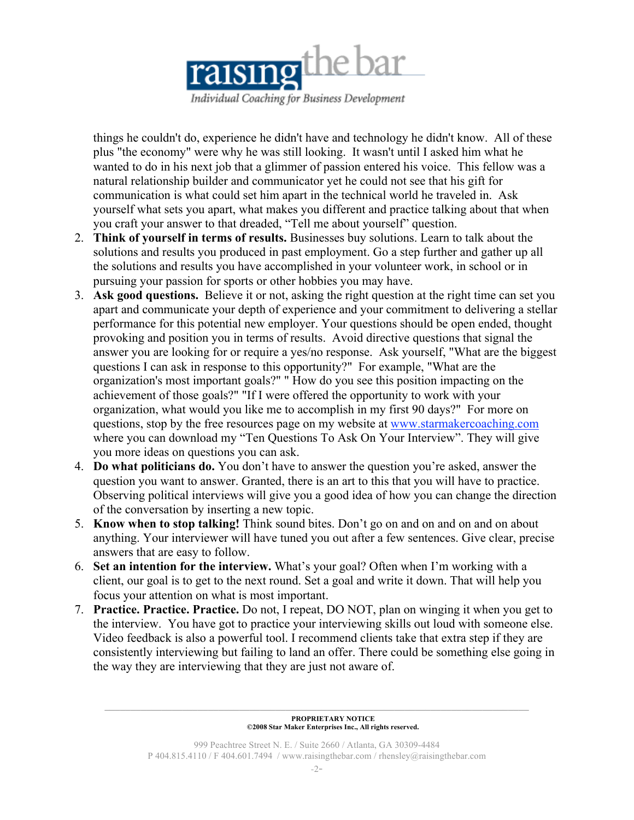

things he couldn't do, experience he didn't have and technology he didn't know. All of these plus "the economy" were why he was still looking. It wasn't until I asked him what he wanted to do in his next job that a glimmer of passion entered his voice. This fellow was a natural relationship builder and communicator yet he could not see that his gift for communication is what could set him apart in the technical world he traveled in. Ask yourself what sets you apart, what makes you different and practice talking about that when you craft your answer to that dreaded, "Tell me about yourself" question.

- 2. **Think of yourself in terms of results.** Businesses buy solutions. Learn to talk about the solutions and results you produced in past employment. Go a step further and gather up all the solutions and results you have accomplished in your volunteer work, in school or in pursuing your passion for sports or other hobbies you may have.
- 3. **Ask good questions.** Believe it or not, asking the right question at the right time can set you apart and communicate your depth of experience and your commitment to delivering a stellar performance for this potential new employer. Your questions should be open ended, thought provoking and position you in terms of results. Avoid directive questions that signal the answer you are looking for or require a yes/no response. Ask yourself, "What are the biggest questions I can ask in response to this opportunity?" For example, "What are the organization's most important goals?" " How do you see this position impacting on the achievement of those goals?" "If I were offered the opportunity to work with your organization, what would you like me to accomplish in my first 90 days?" For more on questions, stop by the free resources page on my website at www.starmakercoaching.com where you can download my "Ten Questions To Ask On Your Interview". They will give you more ideas on questions you can ask.
- 4. **Do what politicians do.** You don't have to answer the question you're asked, answer the question you want to answer. Granted, there is an art to this that you will have to practice. Observing political interviews will give you a good idea of how you can change the direction of the conversation by inserting a new topic.
- 5. **Know when to stop talking!** Think sound bites. Don't go on and on and on and on about anything. Your interviewer will have tuned you out after a few sentences. Give clear, precise answers that are easy to follow.
- 6. **Set an intention for the interview.** What's your goal? Often when I'm working with a client, our goal is to get to the next round. Set a goal and write it down. That will help you focus your attention on what is most important.
- 7. **Practice. Practice. Practice.** Do not, I repeat, DO NOT, plan on winging it when you get to the interview. You have got to practice your interviewing skills out loud with someone else. Video feedback is also a powerful tool. I recommend clients take that extra step if they are consistently interviewing but failing to land an offer. There could be something else going in the way they are interviewing that they are just not aware of.

**PROPRIETARY NOTICE ©2008 Star Maker Enterprises Inc., All rights reserved.**